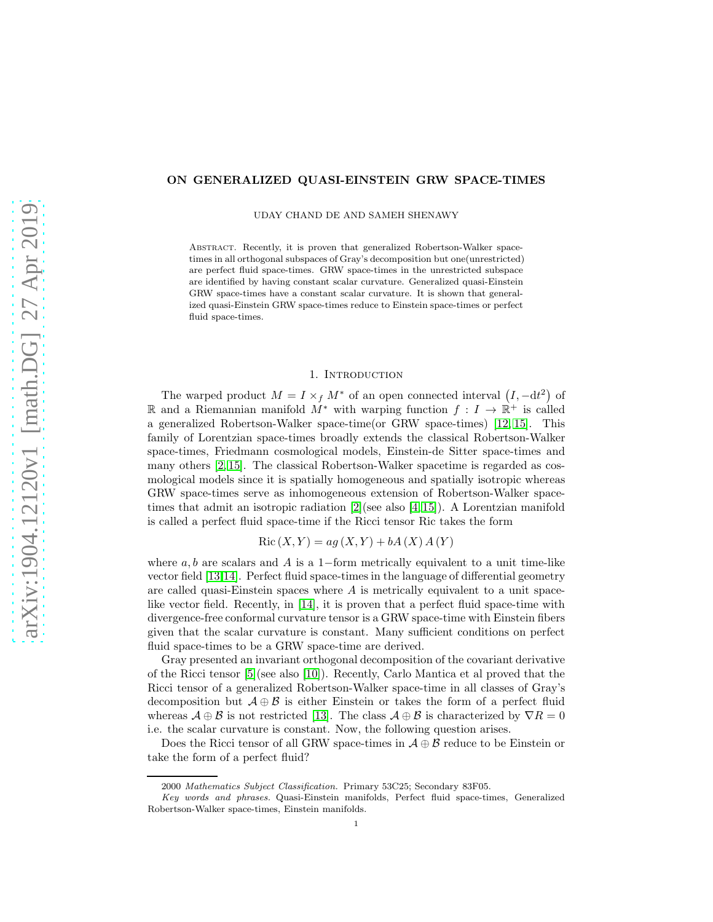## ON GENERALIZED QUASI-EINSTEIN GRW SPACE-TIMES

UDAY CHAND DE AND SAMEH SHENAWY

Abstract. Recently, it is proven that generalized Robertson-Walker spacetimes in all orthogonal subspaces of Gray's decomposition but one(unrestricted) are perfect fluid space-times. GRW space-times in the unrestricted subspace are identified by having constant scalar curvature. Generalized quasi-Einstein GRW space-times have a constant scalar curvature. It is shown that generalized quasi-Einstein GRW space-times reduce to Einstein space-times or perfect fluid space-times.

## 1. INTRODUCTION

The warped product  $M = I \times_f M^*$  of an open connected interval  $(I, -dt^2)$  of R and a Riemannian manifold  $\overline{M}^*$  with warping function  $f: I \to \mathbb{R}^+$  is called a generalized Robertson-Walker space-time(or GRW space-times) [\[12,](#page-5-0) [15\]](#page-5-1). This family of Lorentzian space-times broadly extends the classical Robertson-Walker space-times, Friedmann cosmological models, Einstein-de Sitter space-times and many others [\[2,](#page-4-0) [15\]](#page-5-1). The classical Robertson-Walker spacetime is regarded as cosmological models since it is spatially homogeneous and spatially isotropic whereas GRW space-times serve as inhomogeneous extension of Robertson-Walker spacetimes that admit an isotropic radiation [\[2\]](#page-4-0)(see also [\[4,](#page-4-1) [15\]](#page-5-1)). A Lorentzian manifold is called a perfect fluid space-time if the Ricci tensor Ric takes the form

 $Ric (X, Y) = aq(X, Y) + bA(X) A(Y)$ 

where  $a, b$  are scalars and A is a 1-form metrically equivalent to a unit time-like vector field [\[13,](#page-5-2)[14\]](#page-5-3). Perfect fluid space-times in the language of differential geometry are called quasi-Einstein spaces where  $A$  is metrically equivalent to a unit spacelike vector field. Recently, in [\[14\]](#page-5-3), it is proven that a perfect fluid space-time with divergence-free conformal curvature tensor is a GRW space-time with Einstein fibers given that the scalar curvature is constant. Many sufficient conditions on perfect fluid space-times to be a GRW space-time are derived.

Gray presented an invariant orthogonal decomposition of the covariant derivative of the Ricci tensor [\[5\]](#page-4-2)(see also [\[10\]](#page-5-4)). Recently, Carlo Mantica et al proved that the Ricci tensor of a generalized Robertson-Walker space-time in all classes of Gray's decomposition but  $\mathcal{A} \oplus \mathcal{B}$  is either Einstein or takes the form of a perfect fluid whereas  $\mathcal{A} \oplus \mathcal{B}$  is not restricted [\[13\]](#page-5-2). The class  $\mathcal{A} \oplus \mathcal{B}$  is characterized by  $\nabla R = 0$ i.e. the scalar curvature is constant. Now, the following question arises.

Does the Ricci tensor of all GRW space-times in  $\mathcal{A} \oplus \mathcal{B}$  reduce to be Einstein or take the form of a perfect fluid?

<sup>2000</sup> *Mathematics Subject Classification.* Primary 53C25; Secondary 83F05.

*Key words and phrases.* Quasi-Einstein manifolds, Perfect fluid space-times, Generalized Robertson-Walker space-times, Einstein manifolds.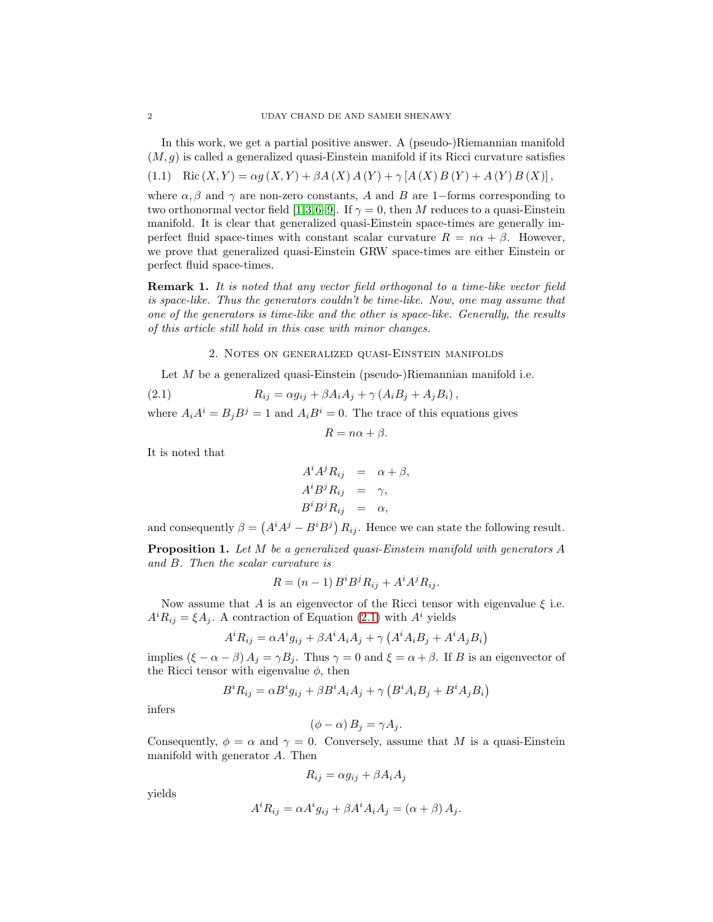In this work, we get a partial positive answer. A (pseudo-)Riemannian manifold  $(M, g)$  is called a generalized quasi-Einstein manifold if its Ricci curvature satisfies

(1.1) Ric 
$$
(X, Y) = \alpha g(X, Y) + \beta A(X) A(Y) + \gamma [A(X) B(Y) + A(Y) B(X)],
$$

where  $\alpha$ ,  $\beta$  and  $\gamma$  are non-zero constants, A and B are 1-forms corresponding to two orthonormal vector field [\[1,](#page-4-3)[3,](#page-4-4)[6–](#page-4-5)[9\]](#page-5-5). If  $\gamma = 0$ , then M reduces to a quasi-Einstein manifold. It is clear that generalized quasi-Einstein space-times are generally imperfect fluid space-times with constant scalar curvature  $R = n\alpha + \beta$ . However, we prove that generalized quasi-Einstein GRW space-times are either Einstein or perfect fluid space-times.

**Remark 1.** It is noted that any vector field orthogonal to a time-like vector field is space-like. Thus the generators couldn't be time-like. Now, one may assume that one of the generators is time-like and the other is space-like. Generally, the results of this article still hold in this case with minor changes.

<span id="page-1-0"></span>2. Notes on generalized quasi-Einstein manifolds

Let M be a generalized quasi-Einstein (pseudo-)Riemannian manifold i.e.

$$
(2.1) \t R_{ij} = \alpha g_{ij} + \beta A_i A_j + \gamma (A_i B_j + A_j B_i),
$$

where  $A_i A^i = B_j B^j = 1$  and  $A_i B^i = 0$ . The trace of this equations gives

$$
R = n\alpha + \beta.
$$

It is noted that

$$
A^{i} A^{j} R_{ij} = \alpha + \beta,
$$
  
\n
$$
A^{i} B^{j} R_{ij} = \gamma,
$$
  
\n
$$
B^{i} B^{j} R_{ij} = \alpha,
$$

and consequently  $\beta = (A^i A^j - B^i B^j) R_{ij}$ . Hence we can state the following result.

Proposition 1. Let M be a generalized quasi-Einstein manifold with generators A and B. Then the scalar curvature is

$$
R = (n-1) B^i B^j R_{ij} + A^i A^j R_{ij}.
$$

Now assume that A is an eigenvector of the Ricci tensor with eigenvalue  $\xi$  i.e.  $A^{i}R_{ij} = \xi A_{j}$ . A contraction of Equation [\(2.1\)](#page-1-0) with  $A^{i}$  yields

$$
A^{i}R_{ij} = \alpha A^{i}g_{ij} + \beta A^{i}A_{i}A_{j} + \gamma (A^{i}A_{i}B_{j} + A^{i}A_{j}B_{i})
$$

implies  $(\xi - \alpha - \beta) A_j = \gamma B_j$ . Thus  $\gamma = 0$  and  $\xi = \alpha + \beta$ . If B is an eigenvector of the Ricci tensor with eigenvalue  $\phi$ , then

$$
B^{i}R_{ij} = \alpha B^{i}g_{ij} + \beta B^{i}A_{i}A_{j} + \gamma \left( B^{i}A_{i}B_{j} + B^{i}A_{j}B_{i} \right)
$$

infers

$$
(\phi - \alpha) B_j = \gamma A_j.
$$

Consequently,  $\phi = \alpha$  and  $\gamma = 0$ . Conversely, assume that M is a quasi-Einstein manifold with generator A. Then

$$
R_{ij} = \alpha g_{ij} + \beta A_i A_j
$$

yields

$$
A^{i}R_{ij} = \alpha A^{i}g_{ij} + \beta A^{i}A_{i}A_{j} = (\alpha + \beta) A_{j}.
$$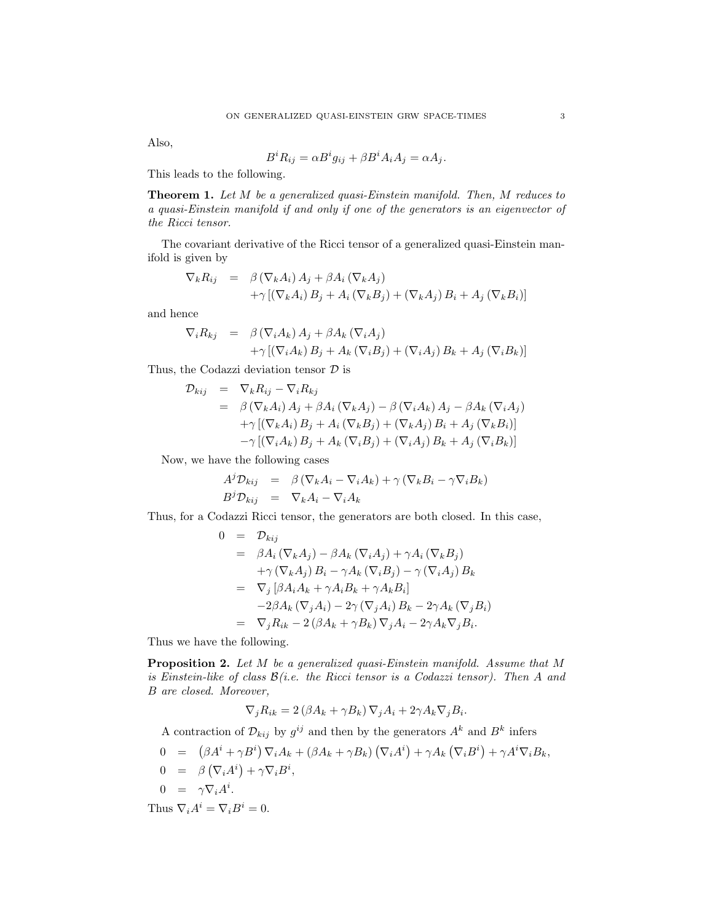Also,

$$
B^i R_{ij} = \alpha B^i g_{ij} + \beta B^i A_i A_j = \alpha A_j.
$$

This leads to the following.

Theorem 1. Let M be a generalized quasi-Einstein manifold. Then, M reduces to a quasi-Einstein manifold if and only if one of the generators is an eigenvector of the Ricci tensor.

The covariant derivative of the Ricci tensor of a generalized quasi-Einstein manifold is given by

$$
\nabla_k R_{ij} = \beta (\nabla_k A_i) A_j + \beta A_i (\nabla_k A_j) \n+ \gamma [(\nabla_k A_i) B_j + A_i (\nabla_k B_j) + (\nabla_k A_j) B_i + A_j (\nabla_k B_i)]
$$

and hence

$$
\nabla_i R_{kj} = \beta (\nabla_i A_k) A_j + \beta A_k (\nabla_i A_j) \n+ \gamma [(\nabla_i A_k) B_j + A_k (\nabla_i B_j) + (\nabla_i A_j) B_k + A_j (\nabla_i B_k)]
$$

Thus, the Codazzi deviation tensor  $\mathcal D$  is

$$
\mathcal{D}_{kij} = \nabla_k R_{ij} - \nabla_i R_{kj}
$$
\n
$$
= \beta \left( \nabla_k A_i \right) A_j + \beta A_i \left( \nabla_k A_j \right) - \beta \left( \nabla_i A_k \right) A_j - \beta A_k \left( \nabla_i A_j \right)
$$
\n
$$
+ \gamma \left[ \left( \nabla_k A_i \right) B_j + A_i \left( \nabla_k B_j \right) + \left( \nabla_k A_j \right) B_i + A_j \left( \nabla_k B_i \right) \right]
$$
\n
$$
- \gamma \left[ \left( \nabla_i A_k \right) B_j + A_k \left( \nabla_i B_j \right) + \left( \nabla_i A_j \right) B_k + A_j \left( \nabla_i B_k \right) \right]
$$

Now, we have the following cases

$$
A^{j} \mathcal{D}_{kij} = \beta (\nabla_{k} A_{i} - \nabla_{i} A_{k}) + \gamma (\nabla_{k} B_{i} - \gamma \nabla_{i} B_{k})
$$
  

$$
B^{j} \mathcal{D}_{kij} = \nabla_{k} A_{i} - \nabla_{i} A_{k}
$$

Thus, for a Codazzi Ricci tensor, the generators are both closed. In this case,

$$
0 = D_{kij}
$$
  
\n
$$
= \beta A_i (\nabla_k A_j) - \beta A_k (\nabla_i A_j) + \gamma A_i (\nabla_k B_j)
$$
  
\n
$$
+ \gamma (\nabla_k A_j) B_i - \gamma A_k (\nabla_i B_j) - \gamma (\nabla_i A_j) B_k
$$
  
\n
$$
= \nabla_j [\beta A_i A_k + \gamma A_i B_k + \gamma A_k B_i]
$$
  
\n
$$
-2\beta A_k (\nabla_j A_i) - 2\gamma (\nabla_j A_i) B_k - 2\gamma A_k (\nabla_j B_i)
$$
  
\n
$$
= \nabla_j R_{ik} - 2 (\beta A_k + \gamma B_k) \nabla_j A_i - 2\gamma A_k \nabla_j B_i.
$$

Thus we have the following.

Proposition 2. Let M be a generalized quasi-Einstein manifold. Assume that M is Einstein-like of class  $\mathcal{B}(i.e.$  the Ricci tensor is a Codazzi tensor). Then A and B are closed. Moreover,

$$
\nabla_j R_{ik} = 2(\beta A_k + \gamma B_k) \nabla_j A_i + 2\gamma A_k \nabla_j B_i.
$$

A contraction of  $\mathcal{D}_{kij}$  by  $g^{ij}$  and then by the generators  $A^k$  and  $B^k$  infers

$$
0 = (\beta A^{i} + \gamma B^{i}) \nabla_{i} A_{k} + (\beta A_{k} + \gamma B_{k}) (\nabla_{i} A^{i}) + \gamma A_{k} (\nabla_{i} B^{i}) + \gamma A^{i} \nabla_{i} B_{k},
$$
  
\n
$$
0 = \beta (\nabla_{i} A^{i}) + \gamma \nabla_{i} B^{i},
$$
  
\n
$$
0 = \gamma \nabla_{i} A^{i}.
$$
  
\nThus  $\nabla_{i} A^{i} = \nabla_{i} B^{i} = 0.$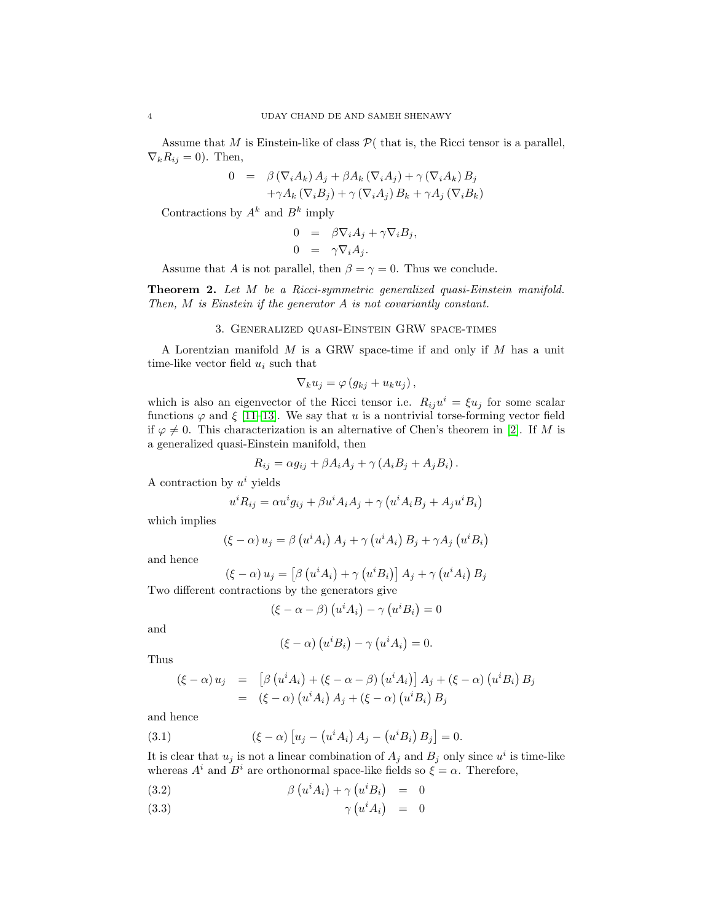Assume that M is Einstein-like of class  $P($  that is, the Ricci tensor is a parallel,  $\nabla_k R_{ij} = 0$ . Then,

$$
0 = \beta (\nabla_i A_k) A_j + \beta A_k (\nabla_i A_j) + \gamma (\nabla_i A_k) B_j
$$
  
+ $\gamma A_k (\nabla_i B_j) + \gamma (\nabla_i A_j) B_k + \gamma A_j (\nabla_i B_k)$ 

Contractions by  $A^k$  and  $B^k$  imply

$$
0 = \beta \nabla_i A_j + \gamma \nabla_i B_j,
$$
  
\n
$$
0 = \gamma \nabla_i A_j.
$$

Assume that A is not parallel, then  $\beta = \gamma = 0$ . Thus we conclude.

Theorem 2. Let M be a Ricci-symmetric generalized quasi-Einstein manifold. Then, M is Einstein if the generator A is not covariantly constant.

## 3. Generalized quasi-Einstein GRW space-times

A Lorentzian manifold  $M$  is a GRW space-time if and only if  $M$  has a unit time-like vector field  $u_i$  such that

$$
\nabla_k u_j = \varphi \left( g_{kj} + u_k u_j \right),
$$

which is also an eigenvector of the Ricci tensor i.e.  $R_{ij}u^i = \xi u_j$  for some scalar functions  $\varphi$  and  $\xi$  [\[11](#page-5-6)[–13\]](#page-5-2). We say that u is a nontrivial torse-forming vector field if  $\varphi \neq 0$ . This characterization is an alternative of Chen's theorem in [\[2\]](#page-4-0). If M is a generalized quasi-Einstein manifold, then

$$
R_{ij} = \alpha g_{ij} + \beta A_i A_j + \gamma (A_i B_j + A_j B_i).
$$

A contraction by  $u^i$  yields

$$
u^{i}R_{ij} = \alpha u^{i}g_{ij} + \beta u^{i}A_{i}A_{j} + \gamma (u^{i}A_{i}B_{j} + A_{j}u^{i}B_{i})
$$

which implies

$$
(\xi - \alpha) u_j = \beta (u^i A_i) A_j + \gamma (u^i A_i) B_j + \gamma A_j (u^i B_i)
$$

and hence

$$
(\xi - \alpha) u_j = \left[\beta \left(u^i A_i\right) + \gamma \left(u^i B_i\right)\right] A_j + \gamma \left(u^i A_i\right) B_j
$$

Two different contractions by the generators give

$$
(\xi - \alpha - \beta) (u^i A_i) - \gamma (u^i B_i) = 0
$$

and

$$
(\xi - \alpha) (u^i B_i) - \gamma (u^i A_i) = 0.
$$

Thus

$$
\begin{array}{rcl}\n(\xi - \alpha) u_j & = & \left[ \beta \left( u^i A_i \right) + (\xi - \alpha - \beta) \left( u^i A_i \right) \right] A_j + (\xi - \alpha) \left( u^i B_i \right) B_j \\
& = & (\xi - \alpha) \left( u^i A_i \right) A_j + (\xi - \alpha) \left( u^i B_i \right) B_j\n\end{array}
$$

and hence

(3.1) 
$$
(\xi - \alpha) [u_j - (u^i A_i) A_j - (u^i B_i) B_j] = 0.
$$

It is clear that  $u_j$  is not a linear combination of  $A_j$  and  $B_j$  only since  $u^i$  is time-like whereas  $A^i$  and  $B^i$  are orthonormal space-like fields so  $\xi = \alpha$ . Therefore,

<span id="page-3-0"></span>
$$
(3.2) \qquad \beta \left( u^i A_i \right) + \gamma \left( u^i B_i \right) = 0
$$

$$
\gamma(u^i A_i) = 0
$$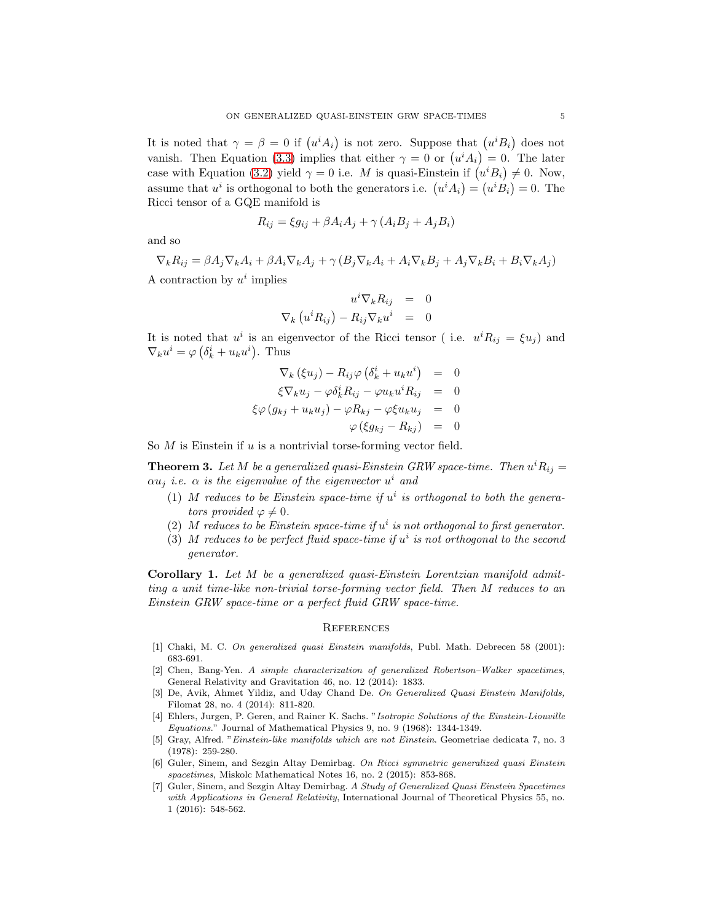It is noted that  $\gamma = \beta = 0$  if  $(u^i A_i)$  is not zero. Suppose that  $(u^i B_i)$  does not vanish. Then Equation [\(3.3\)](#page-3-0) implies that either  $\gamma = 0$  or  $(u^i A_i) = 0$ . The later case with Equation [\(3.2\)](#page-3-0) yield  $\gamma = 0$  i.e. M is quasi-Einstein if  $(u^i B_i) \neq 0$ . Now, assume that  $u^i$  is orthogonal to both the generators i.e.  $(u^i A_i) = (u^i B_i) = 0$ . The Ricci tensor of a GQE manifold is

$$
R_{ij} = \xi g_{ij} + \beta A_i A_j + \gamma (A_i B_j + A_j B_i)
$$

and so

$$
\nabla_k R_{ij} = \beta A_j \nabla_k A_i + \beta A_i \nabla_k A_j + \gamma (B_j \nabla_k A_i + A_i \nabla_k B_j + A_j \nabla_k B_i + B_i \nabla_k A_j)
$$

A contraction by  $u^i$  implies

$$
u^{i} \nabla_{k} R_{ij} = 0
$$
  

$$
\nabla_{k} (u^{i} R_{ij}) - R_{ij} \nabla_{k} u^{i} = 0
$$

It is noted that  $u^i$  is an eigenvector of the Ricci tensor (i.e.  $u^i R_{ij} = \xi u_j$ ) and  $\nabla_k u^i = \varphi \left( \delta_k^i + u_k u^i \right)$ . Thus

$$
\nabla_k (\xi u_j) - R_{ij} \varphi (\delta_k^i + u_k u^i) = 0
$$
  
\n
$$
\xi \nabla_k u_j - \varphi \delta_k^i R_{ij} - \varphi u_k u^i R_{ij} = 0
$$
  
\n
$$
\xi \varphi (g_{kj} + u_k u_j) - \varphi R_{kj} - \varphi \xi u_k u_j = 0
$$
  
\n
$$
\varphi (\xi g_{kj} - R_{kj}) = 0
$$

So  $M$  is Einstein if  $u$  is a nontrivial torse-forming vector field.

**Theorem 3.** Let M be a generalized quasi-Einstein GRW space-time. Then  $u^i R_{ij} =$  $\alpha u_j$  i.e.  $\alpha$  is the eigenvalue of the eigenvector  $u^i$  and

- (1) M reduces to be Einstein space-time if  $u^i$  is orthogonal to both the generators provided  $\varphi \neq 0$ .
- (2) M reduces to be Einstein space-time if  $u^i$  is not orthogonal to first generator.
- (3) M reduces to be perfect fluid space-time if  $u^i$  is not orthogonal to the second generator.

Corollary 1. Let M be a generalized quasi-Einstein Lorentzian manifold admitting a unit time-like non-trivial torse-forming vector field. Then M reduces to an Einstein GRW space-time or a perfect fluid GRW space-time.

## **REFERENCES**

- <span id="page-4-3"></span>[1] Chaki, M. C. *On generalized quasi Einstein manifolds*, Publ. Math. Debrecen 58 (2001): 683-691.
- <span id="page-4-0"></span>[2] Chen, Bang-Yen. *A simple characterization of generalized Robertson–Walker spacetimes*, General Relativity and Gravitation 46, no. 12 (2014): 1833.
- <span id="page-4-4"></span>[3] De, Avik, Ahmet Yildiz, and Uday Chand De. *On Generalized Quasi Einstein Manifolds,* Filomat 28, no. 4 (2014): 811-820.
- <span id="page-4-1"></span>[4] Ehlers, Jurgen, P. Geren, and Rainer K. Sachs. "*Isotropic Solutions of the Einstein-Liouville Equations*." Journal of Mathematical Physics 9, no. 9 (1968): 1344-1349.
- <span id="page-4-2"></span>[5] Gray, Alfred. "*Einstein-like manifolds which are not Einstein*. Geometriae dedicata 7, no. 3 (1978): 259-280.
- <span id="page-4-5"></span>[6] Guler, Sinem, and Sezgin Altay Demirbag. *On Ricci symmetric generalized quasi Einstein spacetimes*, Miskolc Mathematical Notes 16, no. 2 (2015): 853-868.
- [7] Guler, Sinem, and Sezgin Altay Demirbag. *A Study of Generalized Quasi Einstein Spacetimes with Applications in General Relativity*, International Journal of Theoretical Physics 55, no. 1 (2016): 548-562.